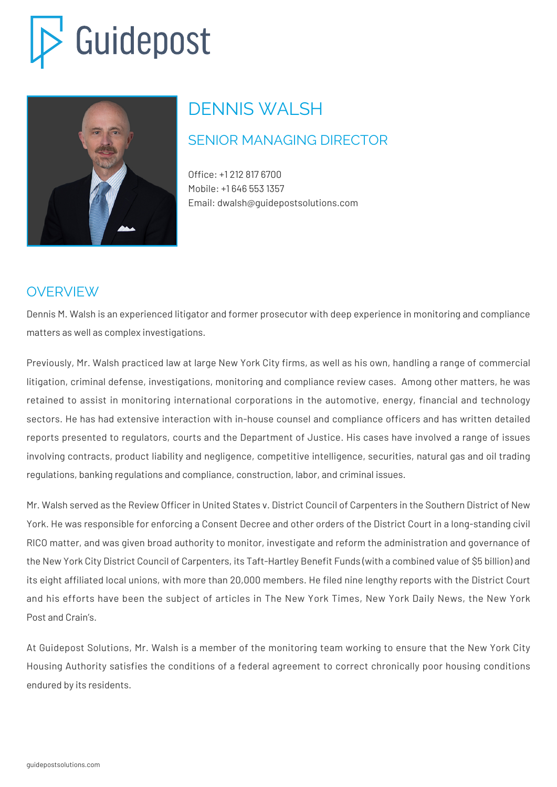# Guidepost



## DENNIS WALSH

### SENIOR MANAGING DIRECTOR

Office: +1 212 817 6700 Mobile: +1 646 553 1357 Email: dwalsh@guidepostsolutions.com

#### OVERVIEW

Dennis M. Walsh is an experienced litigator and former prosecutor with deep experience in monitoring and compliance matters as well as complex investigations.

Previously, Mr. Walsh practiced law at large New York City firms, as well as his own, handling a range of commercial litigation, criminal defense, investigations, monitoring and compliance review cases. Among other matters, he was retained to assist in monitoring international corporations in the automotive, energy, financial and technology sectors. He has had extensive interaction with in-house counsel and compliance officers and has written detailed reports presented to regulators, courts and the Department of Justice. His cases have involved a range of issues involving contracts, product liability and negligence, competitive intelligence, securities, natural gas and oil trading regulations, banking regulations and compliance, construction, labor, and criminal issues.

Mr. Walsh served as the Review Officer in United States v. District Council of Carpenters in the Southern District of New York. He was responsible for enforcing a Consent Decree and other orders of the District Court in a long-standing civil RICO matter, and was given broad authority to monitor, investigate and reform the administration and governance of the New York City District Council of Carpenters, its Taft-Hartley Benefit Funds (with a combined value of \$5 billion) and its eight affiliated local unions, with more than 20,000 members. He filed nine lengthy reports with the District Court and his efforts have been the subject of articles in The New York Times, New York Daily News, the New York Post and Crain's.

At Guidepost Solutions, Mr. Walsh is a member of the monitoring team working to ensure that the New York City Housing Authority satisfies the conditions of a federal agreement to correct chronically poor housing conditions endured by its residents.